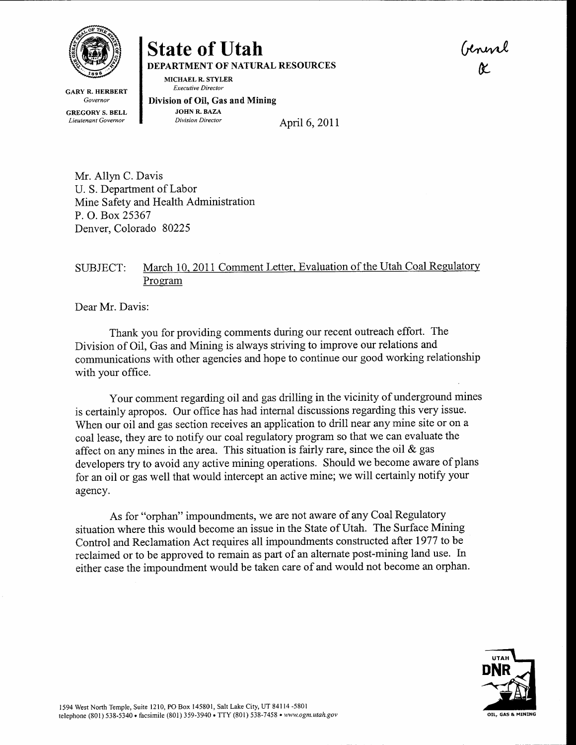

GARY R. HERBERT Governor

MICHAEL R. STYLER

GREGORY S. BELL Lieutenant Govemor

Executive Director Division of OiI, Gas and Mining **JOHN R. BAZA**<br>Division Director

DEPARTMENT OF NATURAL RESOURCES

State of Utah

April 6, 2011

Mr. Allyn C. Davis U. S. Department of Labor Mine Safety and Health Administration P. O. Box 25367 Denver, Colorado 80225

## SUBJECT: March 10, 2011 Comment Letter, Evaluation of the Utah Coal Regulatory Program

Dear Mr. Davis:

Thank you for providing comments during our recent outreach effort. The Division of Oil, Gas and Mining is always striving to improve our relations and communications with other agencies and hope to continue our good working relationship with your office.

Your comment regarding oil and gas drilling in the vicinity of underground mines is certainly apropos. Our office has had internal discussions regarding this very issue. When our oil and gas section receives an application to drill near any mine site or on <sup>a</sup> coal lease, they are to notify our coal regulatory program so that we can evaluate the affect on any mines in the area. This situation is fairly rare, since the oil & gas developers try to avoid any active mining operations. Should we become aware of plans for an oil or gas well that would intercept an active mine; we will certainly notify your agency.

As for "orphan" impoundments, we are not aware of any Coal Regulatory situation where this would become an issue in the State of Utah. The Surface Mining Control and Reclamation Act requires all impoundments constructed after 1977 to be reclaimed or to be approved to remain as part of an alternate post-mining land use. In either case the impoundment would be taken care of and would not become an orphan.



(rhmt E